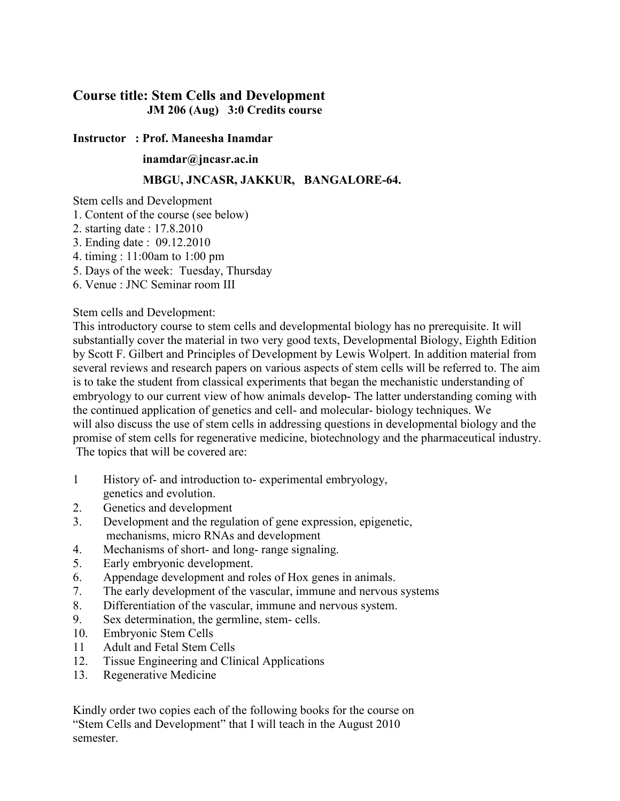## **Course title: Stem Cells and Development JM 206 (Aug) 3:0 Credits course**

## **Instructor : Prof. Maneesha Inamdar**

## **inamdar@jncasr.ac.in**

## **MBGU, JNCASR, JAKKUR, BANGALORE-64.**

Stem cells and Development

- 1. Content of the course (see below)
- 2. starting date : 17.8.2010
- 3. Ending date : 09.12.2010
- 4. timing : 11:00am to 1:00 pm
- 5. Days of the week: Tuesday, Thursday
- 6. Venue : JNC Seminar room III

Stem cells and Development:

This introductory course to stem cells and developmental biology has no prerequisite. It will substantially cover the material in two very good texts, Developmental Biology, Eighth Edition by Scott F. Gilbert and Principles of Development by Lewis Wolpert. In addition material from several reviews and research papers on various aspects of stem cells will be referred to. The aim is to take the student from classical experiments that began the mechanistic understanding of embryology to our current view of how animals develop- The latter understanding coming with the continued application of genetics and cell- and molecular- biology techniques. We will also discuss the use of stem cells in addressing questions in developmental biology and the promise of stem cells for regenerative medicine, biotechnology and the pharmaceutical industry. The topics that will be covered are:

- 1 History of- and introduction to- experimental embryology, genetics and evolution.
- 2. Genetics and development
- 3. Development and the regulation of gene expression, epigenetic, mechanisms, micro RNAs and development
- 4. Mechanisms of short- and long- range signaling.
- 5. Early embryonic development.
- 6. Appendage development and roles of Hox genes in animals.
- 7. The early development of the vascular, immune and nervous systems
- 8. Differentiation of the vascular, immune and nervous system.
- 9. Sex determination, the germline, stem- cells.
- 10. Embryonic Stem Cells
- 11 Adult and Fetal Stem Cells
- 12. Tissue Engineering and Clinical Applications
- 13. Regenerative Medicine

Kindly order two copies each of the following books for the course on "Stem Cells and Development" that I will teach in the August 2010 semester.